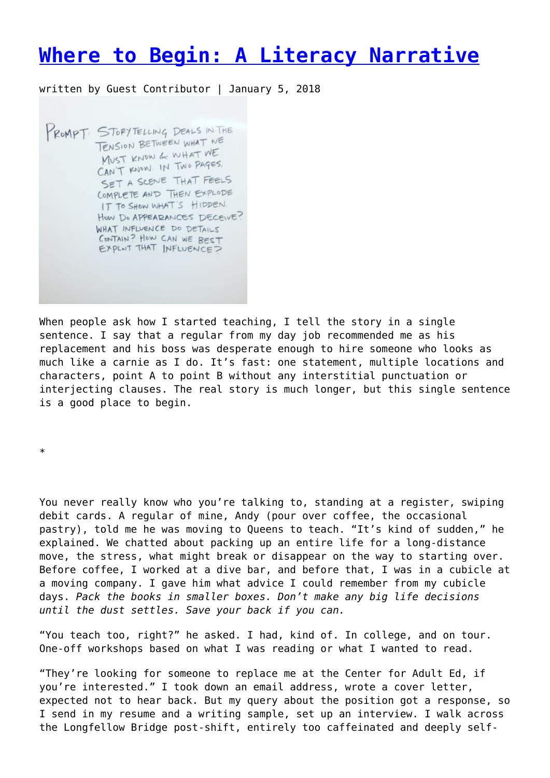## **[Where to Begin: A Literacy Narrative](https://entropymag.org/where-to-begin-a-literacy-narrative-by-emily-oneill/)**

written by Guest Contributor | January 5, 2018

PROMPT: STOPYTELLING DEALS IN THE TENSION BETWEEN WHAT WE MUST KNOW & WHAT WE CAN'T KNOW IN TWO PAGES. SET A SCENE THAT FEELS COMPLETE AND THEN EXPLODE IT TO SHOW WHAT'S HIDDEN. HOW DO APPEARANCES DECEIVE? WHAT INFLUENCE DO DETAILS CONTAIN? HOW CAN WE BEST<br>EXPLNT THAT INFLUENCE?

When people ask how I started teaching, I tell the story in a single sentence. I say that a regular from my day job recommended me as his replacement and his boss was desperate enough to hire someone who looks as much like a carnie as I do. It's fast: one statement, multiple locations and characters, point A to point B without any interstitial punctuation or interjecting clauses. The real story is much longer, but this single sentence is a good place to begin.

\*

You never really know who you're talking to, standing at a register, swiping debit cards. A regular of mine, Andy (pour over coffee, the occasional pastry), told me he was moving to Queens to teach. "It's kind of sudden," he explained. We chatted about packing up an entire life for a long-distance move, the stress, what might break or disappear on the way to starting over. Before coffee, I worked at a dive bar, and before that, I was in a cubicle at a moving company. I gave him what advice I could remember from my cubicle days. *Pack the books in smaller boxes. Don't make any big life decisions until the dust settles. Save your back if you can.*

"You teach too, right?" he asked. I had, kind of. In college, and on tour. One-off workshops based on what I was reading or what I wanted to read.

"They're looking for someone to replace me at the Center for Adult Ed, if you're interested." I took down an email address, wrote a cover letter, expected not to hear back. But my query about the position got a response, so I send in my resume and a writing sample, set up an interview. I walk across the Longfellow Bridge post-shift, entirely too caffeinated and deeply self-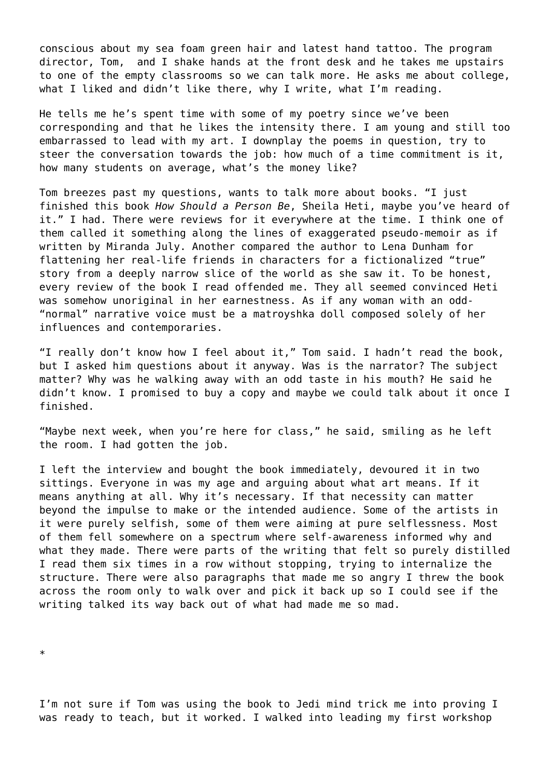conscious about my sea foam green hair and latest hand tattoo. The program director, Tom, and I shake hands at the front desk and he takes me upstairs to one of the empty classrooms so we can talk more. He asks me about college, what I liked and didn't like there, why I write, what I'm reading.

He tells me he's spent time with some of my poetry since we've been corresponding and that he likes the intensity there. I am young and still too embarrassed to lead with my art. I downplay the poems in question, try to steer the conversation towards the job: how much of a time commitment is it, how many students on average, what's the money like?

Tom breezes past my questions, wants to talk more about books. "I just finished this book *How Should a Person Be*, Sheila Heti, maybe you've heard of it." I had. There were reviews for it everywhere at the time. I think one of them called it something along the lines of exaggerated pseudo-memoir as if written by Miranda July. Another compared the author to Lena Dunham for flattening her real-life friends in characters for a fictionalized "true" story from a deeply narrow slice of the world as she saw it. To be honest, every review of the book I read offended me. They all seemed convinced Heti was somehow unoriginal in her earnestness. As if any woman with an odd- "normal" narrative voice must be a matroyshka doll composed solely of her influences and contemporaries.

"I really don't know how I feel about it," Tom said. I hadn't read the book, but I asked him questions about it anyway. Was is the narrator? The subject matter? Why was he walking away with an odd taste in his mouth? He said he didn't know. I promised to buy a copy and maybe we could talk about it once I finished.

"Maybe next week, when you're here for class," he said, smiling as he left the room. I had gotten the job.

I left the interview and bought the book immediately, devoured it in two sittings. Everyone in was my age and arguing about what art means. If it means anything at all. Why it's necessary. If that necessity can matter beyond the impulse to make or the intended audience. Some of the artists in it were purely selfish, some of them were aiming at pure selflessness. Most of them fell somewhere on a spectrum where self-awareness informed why and what they made. There were parts of the writing that felt so purely distilled I read them six times in a row without stopping, trying to internalize the structure. There were also paragraphs that made me so angry I threw the book across the room only to walk over and pick it back up so I could see if the writing talked its way back out of what had made me so mad.

\*

I'm not sure if Tom was using the book to Jedi mind trick me into proving I was ready to teach, but it worked. I walked into leading my first workshop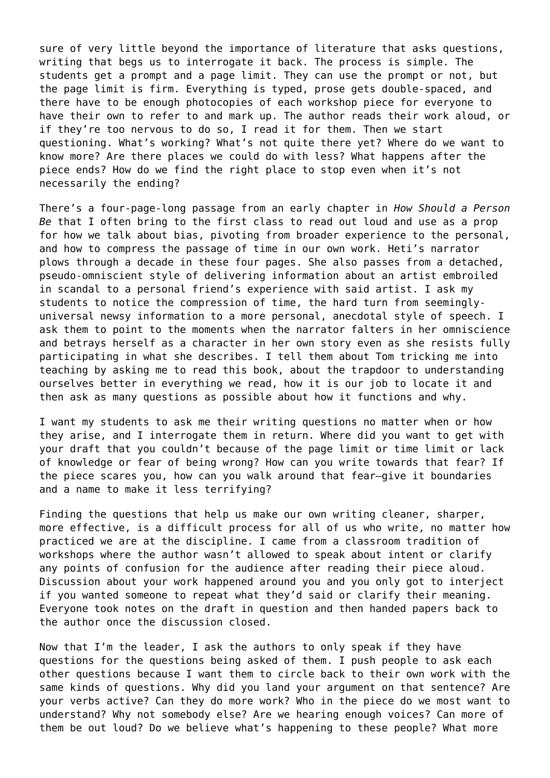sure of very little beyond the importance of literature that asks questions, writing that begs us to interrogate it back. The process is simple. The students get a prompt and a page limit. They can use the prompt or not, but the page limit is firm. Everything is typed, prose gets double-spaced, and there have to be enough photocopies of each workshop piece for everyone to have their own to refer to and mark up. The author reads their work aloud, or if they're too nervous to do so, I read it for them. Then we start questioning. What's working? What's not quite there yet? Where do we want to know more? Are there places we could do with less? What happens after the piece ends? How do we find the right place to stop even when it's not necessarily the ending?

There's a four-page-long passage from an early chapter in *How Should a Person Be* that I often bring to the first class to read out loud and use as a prop for how we talk about bias, pivoting from broader experience to the personal, and how to compress the passage of time in our own work. Heti's narrator plows through a decade in these four pages. She also passes from a detached, pseudo-omniscient style of delivering information about an artist embroiled in scandal to a personal friend's experience with said artist. I ask my students to notice the compression of time, the hard turn from seeminglyuniversal newsy information to a more personal, anecdotal style of speech. I ask them to point to the moments when the narrator falters in her omniscience and betrays herself as a character in her own story even as she resists fully participating in what she describes. I tell them about Tom tricking me into teaching by asking me to read this book, about the trapdoor to understanding ourselves better in everything we read, how it is our job to locate it and then ask as many questions as possible about how it functions and why.

I want my students to ask me their writing questions no matter when or how they arise, and I interrogate them in return. Where did you want to get with your draft that you couldn't because of the page limit or time limit or lack of knowledge or fear of being wrong? How can you write towards that fear? If the piece scares you, how can you walk around that fear—give it boundaries and a name to make it less terrifying?

Finding the questions that help us make our own writing cleaner, sharper, more effective, is a difficult process for all of us who write, no matter how practiced we are at the discipline. I came from a classroom tradition of workshops where the author wasn't allowed to speak about intent or clarify any points of confusion for the audience after reading their piece aloud. Discussion about your work happened around you and you only got to interject if you wanted someone to repeat what they'd said or clarify their meaning. Everyone took notes on the draft in question and then handed papers back to the author once the discussion closed.

Now that I'm the leader, I ask the authors to only speak if they have questions for the questions being asked of them. I push people to ask each other questions because I want them to circle back to their own work with the same kinds of questions. Why did you land your argument on that sentence? Are your verbs active? Can they do more work? Who in the piece do we most want to understand? Why not somebody else? Are we hearing enough voices? Can more of them be out loud? Do we believe what's happening to these people? What more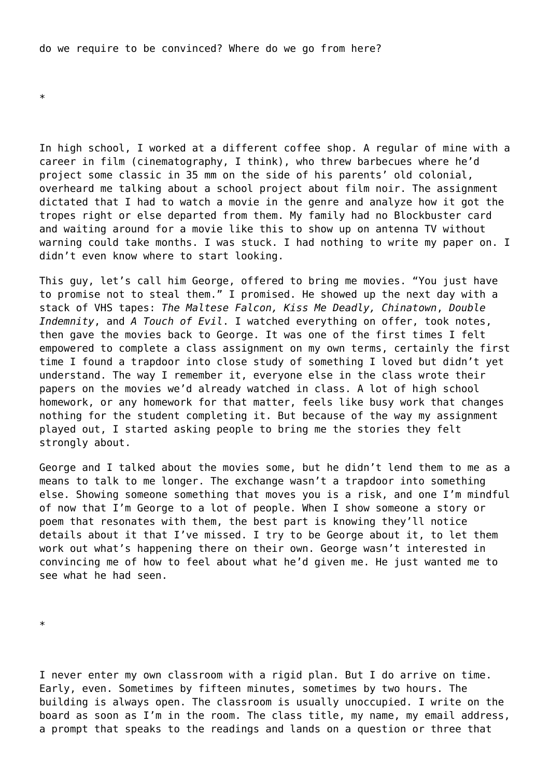do we require to be convinced? Where do we go from here?

\*

In high school, I worked at a different coffee shop. A regular of mine with a career in film (cinematography, I think), who threw barbecues where he'd project some classic in 35 mm on the side of his parents' old colonial, overheard me talking about a school project about film noir. The assignment dictated that I had to watch a movie in the genre and analyze how it got the tropes right or else departed from them. My family had no Blockbuster card and waiting around for a movie like this to show up on antenna TV without warning could take months. I was stuck. I had nothing to write my paper on. I didn't even know where to start looking.

This guy, let's call him George, offered to bring me movies. "You just have to promise not to steal them." I promised. He showed up the next day with a stack of VHS tapes: *The Maltese Falcon, Kiss Me Deadly, Chinatown*, *Double Indemnity*, and *A Touch of Evil*. I watched everything on offer, took notes, then gave the movies back to George. It was one of the first times I felt empowered to complete a class assignment on my own terms, certainly the first time I found a trapdoor into close study of something I loved but didn't yet understand. The way I remember it, everyone else in the class wrote their papers on the movies we'd already watched in class. A lot of high school homework, or any homework for that matter, feels like busy work that changes nothing for the student completing it. But because of the way my assignment played out, I started asking people to bring me the stories they felt strongly about.

George and I talked about the movies some, but he didn't lend them to me as a means to talk to me longer. The exchange wasn't a trapdoor into something else. Showing someone something that moves you is a risk, and one I'm mindful of now that I'm George to a lot of people. When I show someone a story or poem that resonates with them, the best part is knowing they'll notice details about it that I've missed. I try to be George about it, to let them work out what's happening there on their own. George wasn't interested in convincing me of how to feel about what he'd given me. He just wanted me to see what he had seen.

\*

I never enter my own classroom with a rigid plan. But I do arrive on time. Early, even. Sometimes by fifteen minutes, sometimes by two hours. The building is always open. The classroom is usually unoccupied. I write on the board as soon as I'm in the room. The class title, my name, my email address, a prompt that speaks to the readings and lands on a question or three that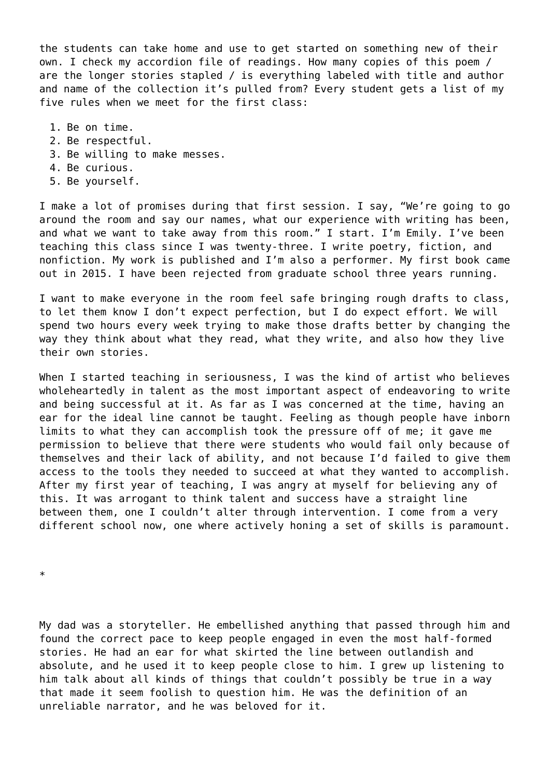the students can take home and use to get started on something new of their own. I check my accordion file of readings. How many copies of this poem / are the longer stories stapled / is everything labeled with title and author and name of the collection it's pulled from? Every student gets a list of my five rules when we meet for the first class:

- 1. Be on time.
- 2. Be respectful.
- 3. Be willing to make messes.
- 4. Be curious.
- 5. Be yourself.

I make a lot of promises during that first session. I say, "We're going to go around the room and say our names, what our experience with writing has been, and what we want to take away from this room." I start. I'm Emily. I've been teaching this class since I was twenty-three. I write poetry, fiction, and nonfiction. My work is published and I'm also a performer. My first book came out in 2015. I have been rejected from graduate school three years running.

I want to make everyone in the room feel safe bringing rough drafts to class, to let them know I don't expect perfection, but I do expect effort. We will spend two hours every week trying to make those drafts better by changing the way they think about what they read, what they write, and also how they live their own stories.

When I started teaching in seriousness, I was the kind of artist who believes wholeheartedly in talent as the most important aspect of endeavoring to write and being successful at it. As far as I was concerned at the time, having an ear for the ideal line cannot be taught. Feeling as though people have inborn limits to what they can accomplish took the pressure off of me; it gave me permission to believe that there were students who would fail only because of themselves and their lack of ability, and not because I'd failed to give them access to the tools they needed to succeed at what they wanted to accomplish. After my first year of teaching, I was angry at myself for believing any of this. It was arrogant to think talent and success have a straight line between them, one I couldn't alter through intervention. I come from a very different school now, one where actively honing a set of skills is paramount.

\*

My dad was a storyteller. He embellished anything that passed through him and found the correct pace to keep people engaged in even the most half-formed stories. He had an ear for what skirted the line between outlandish and absolute, and he used it to keep people close to him. I grew up listening to him talk about all kinds of things that couldn't possibly be true in a way that made it seem foolish to question him. He was the definition of an unreliable narrator, and he was beloved for it.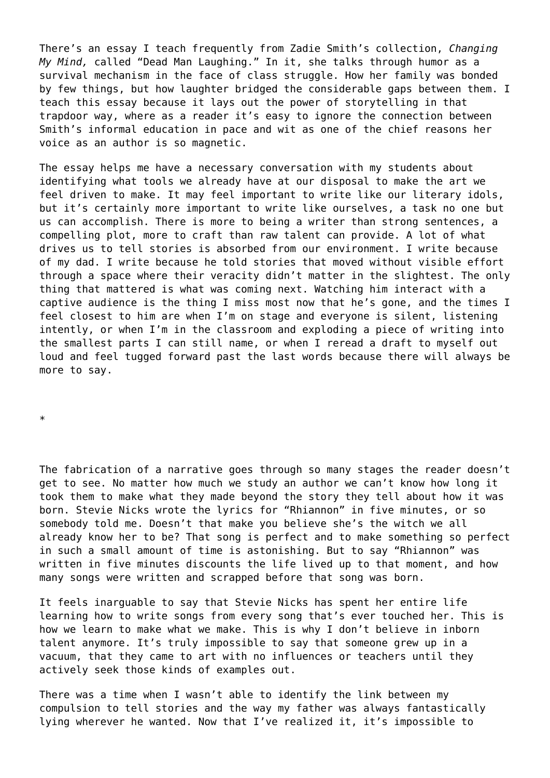There's an essay I teach frequently from Zadie Smith's collection, *Changing My Mind,* called "Dead Man Laughing." In it, she talks through humor as a survival mechanism in the face of class struggle. How her family was bonded by few things, but how laughter bridged the considerable gaps between them. I teach this essay because it lays out the power of storytelling in that trapdoor way, where as a reader it's easy to ignore the connection between Smith's informal education in pace and wit as one of the chief reasons her voice as an author is so magnetic.

The essay helps me have a necessary conversation with my students about identifying what tools we already have at our disposal to make the art we feel driven to make. It may feel important to write like our literary idols, but it's certainly more important to write like ourselves, a task no one but us can accomplish. There is more to being a writer than strong sentences, a compelling plot, more to craft than raw talent can provide. A lot of what drives us to tell stories is absorbed from our environment. I write because of my dad. I write because he told stories that moved without visible effort through a space where their veracity didn't matter in the slightest. The only thing that mattered is what was coming next. Watching him interact with a captive audience is the thing I miss most now that he's gone, and the times I feel closest to him are when I'm on stage and everyone is silent, listening intently, or when I'm in the classroom and exploding a piece of writing into the smallest parts I can still name, or when I reread a draft to myself out loud and feel tugged forward past the last words because there will always be more to say.

\*

The fabrication of a narrative goes through so many stages the reader doesn't get to see. No matter how much we study an author we can't know how long it took them to make what they made beyond the story they tell about how it was born. Stevie Nicks wrote the lyrics for "Rhiannon" in five minutes, or so somebody told me. Doesn't that make you believe she's the witch we all already know her to be? That song is perfect and to make something so perfect in such a small amount of time is astonishing. But to say "Rhiannon" was written in five minutes discounts the life lived up to that moment, and how many songs were written and scrapped before that song was born.

It feels inarguable to say that Stevie Nicks has spent her entire life learning how to write songs from every song that's ever touched her. This is how we learn to make what we make. This is why I don't believe in inborn talent anymore. It's truly impossible to say that someone grew up in a vacuum, that they came to art with no influences or teachers until they actively seek those kinds of examples out.

There was a time when I wasn't able to identify the link between my compulsion to tell stories and the way my father was always fantastically lying wherever he wanted. Now that I've realized it, it's impossible to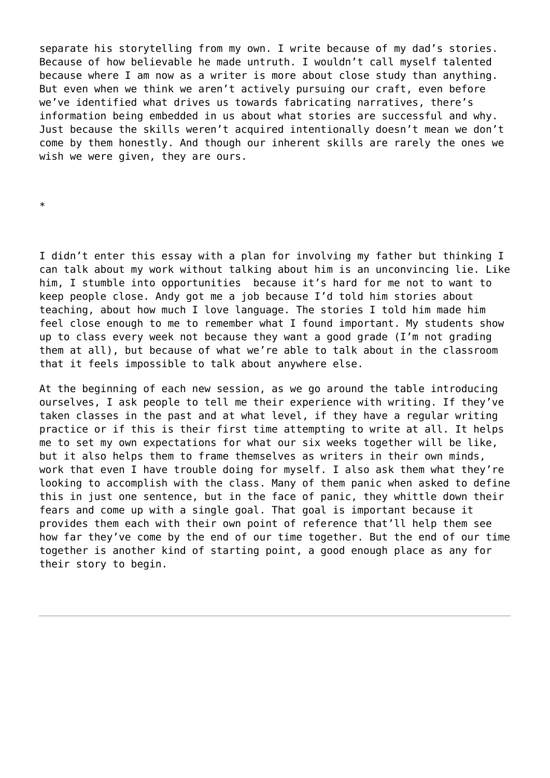separate his storytelling from my own. I write because of my dad's stories. Because of how believable he made untruth. I wouldn't call myself talented because where I am now as a writer is more about close study than anything. But even when we think we aren't actively pursuing our craft, even before we've identified what drives us towards fabricating narratives, there's information being embedded in us about what stories are successful and why. Just because the skills weren't acquired intentionally doesn't mean we don't come by them honestly. And though our inherent skills are rarely the ones we wish we were given, they are ours.

\*

I didn't enter this essay with a plan for involving my father but thinking I can talk about my work without talking about him is an unconvincing lie. Like him, I stumble into opportunities because it's hard for me not to want to keep people close. Andy got me a job because I'd told him stories about teaching, about how much I love language. The stories I told him made him feel close enough to me to remember what I found important. My students show up to class every week not because they want a good grade (I'm not grading them at all), but because of what we're able to talk about in the classroom that it feels impossible to talk about anywhere else.

At the beginning of each new session, as we go around the table introducing ourselves, I ask people to tell me their experience with writing. If they've taken classes in the past and at what level, if they have a regular writing practice or if this is their first time attempting to write at all. It helps me to set my own expectations for what our six weeks together will be like, but it also helps them to frame themselves as writers in their own minds, work that even I have trouble doing for myself. I also ask them what they're looking to accomplish with the class. Many of them panic when asked to define this in just one sentence, but in the face of panic, they whittle down their fears and come up with a single goal. That goal is important because it provides them each with their own point of reference that'll help them see how far they've come by the end of our time together. But the end of our time together is another kind of starting point, a good enough place as any for their story to begin.